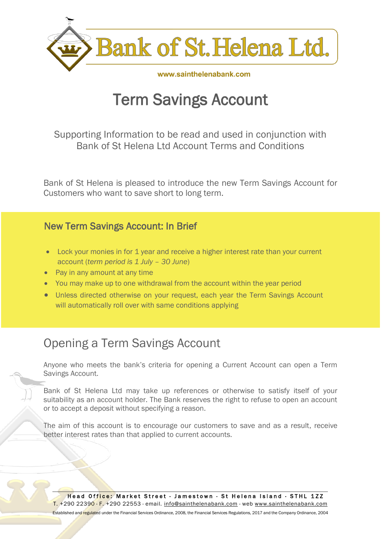

www.sainthelenabank.com

# Term Savings Account

Supporting Information to be read and used in conjunction with Bank of St Helena Ltd Account Terms and Conditions

Bank of St Helena is pleased to introduce the new Term Savings Account for Customers who want to save short to long term.

#### New Term Savings Account: In Brief

- Lock your monies in for 1 year and receive a higher interest rate than your current account (*term period is 1 July – 30 June*)
- Pay in any amount at any time
- You may make up to one withdrawal from the account within the year period
- Unless directed otherwise on your request, each year the Term Savings Account will automatically roll over with same conditions applying

## Opening a Term Savings Account

Anyone who meets the bank's criteria for opening a Current Account can open a Term Savings Account.

Bank of St Helena Ltd may take up references or otherwise to satisfy itself of your suitability as an account holder. The Bank reserves the right to refuse to open an account or to accept a deposit without specifying a reason.

The aim of this account is to encourage our customers to save and as a result, receive better interest rates than that applied to current accounts.

Head Office: Market Street · Jamestown · St Helena Island · STHL 1ZZ T. +290 22390 · F. +290 22553 · email. [info@sainthelenabank.com](mailto:info@sainthelenabank.com) · web www.sainthelenabank.com Established and regulated under the Financial Services Ordinance, 2008, the Financial Services Regulations, 2017 and the Company Ordinance, 2004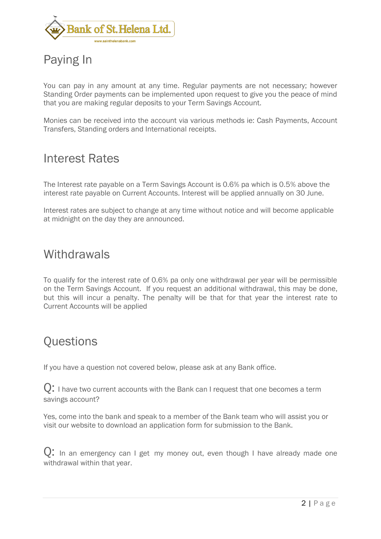

## Paying In

You can pay in any amount at any time. Regular payments are not necessary; however Standing Order payments can be implemented upon request to give you the peace of mind that you are making regular deposits to your Term Savings Account.

Monies can be received into the account via various methods ie: Cash Payments, Account Transfers, Standing orders and International receipts.

#### Interest Rates

The Interest rate payable on a Term Savings Account is 0.6% pa which is 0.5% above the interest rate payable on Current Accounts. Interest will be applied annually on 30 June.

Interest rates are subject to change at any time without notice and will become applicable at midnight on the day they are announced.

#### **Withdrawals**

To qualify for the interest rate of 0.6% pa only one withdrawal per year will be permissible on the Term Savings Account. If you request an additional withdrawal, this may be done, but this will incur a penalty. The penalty will be that for that year the interest rate to Current Accounts will be applied

### **Questions**

If you have a question not covered below, please ask at any Bank office.

 $\overline{Q}$ : I have two current accounts with the Bank can I request that one becomes a term savings account?

Yes, come into the bank and speak to a member of the Bank team who will assist you or visit our website to download an application form for submission to the Bank.

Q: In an emergency can I get my money out, even though I have already made one withdrawal within that year.